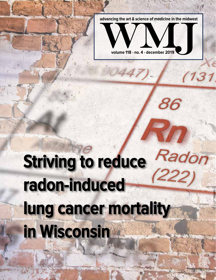**advancing the art & science of medicine in the midwest**



86

 $131$ 

## Radon<br>222) **Striving to reduce radon-induced lung cancer mortality in Wisconsin**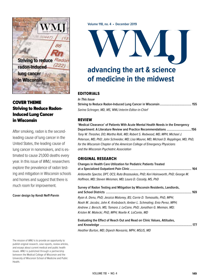

#### COVER THEME Striving to Reduce Radon-Induced Lung Cancer in Wisconsin

After smoking, radon is the secondleading cause of lung cancer in the United States, the leading cause of lung cancer in nonsmokers, and is estimated to cause 21,000 deaths every year. In this issue of WMJ, researchers explore the prevalence of radon testing and mitigation in Wisconsin schools and homes and suggest that there is much room for improvement.

**Cover design by Kendi Neff-Parvin**

**Volume 118, no. 4 • December 2019**

# **advancing the art & science**

## **of medicine in the midwest**

#### EDITORIALS

**In This Issue**

**Striving to Reduce Radon-Induced Lung Cancer in Wisconsin..................................... 155** Sarina Schrager, MD, MS, WMJ Interim Editor-in-Chief

#### REVIEW

**'Medical Clearance' of Patients With Acute Mental Health Needs in the Emergency Department: A Literature Review and Practice Recommendations .............................156** Tony W. Thrasher, DO; Martha Rolli, MD; Robert S. Redwood, MD, MPH; Michael J. Peterson, MD, PhD; John Schneider, MD; Lisa Maurer, MD; Michael D. Repplinger, MD, PhD, for the Wisconsin Chapter of the American College of Emergency Physicians and the Wisconsin Psychiatric Association

#### ORIGINAL RESEARCH

| <b>Changes in Health Care Utilization for Pediatric Patients Treated</b><br>at a Specialized Outpatient Pain Clinic …………………………………………………………………… 164 |  |
|----------------------------------------------------------------------------------------------------------------------------------------------------|--|
| Antionette Spector, DPT, OCS; Ruta Brazauskas, PhD; Keri Hainsworth, PhD; George M.                                                                |  |
| Hoffman, MD; Steven Weisman, MD; Laura D. Cassidy, MS, PhD                                                                                         |  |
| Survey of Radon Testing and Mitigation by Wisconsin Residents, Landlords,                                                                          |  |
|                                                                                                                                                    |  |
| Ryan A. Denu, PhD; Jessica Maloney, BS; Carrie D. Tomasallo, PhD, MPH;                                                                             |  |
| Noah M. Jacobs; John K. Krebsbach; Amber L. Schmaling; Enio Perez, MPH;                                                                            |  |
| Andrew J. Bersch, MS; Tamara J. LeCaire, PhD; Jonathan G. Meiman, MD;                                                                              |  |
| Kristen M. Malecki, PhD, MPH; Noelle K. LoConte, MD                                                                                                |  |
| Eachdraitheachas Effect of Boscole Antonio House and Olivia Victorial Attitude                                                                     |  |

#### **Evaluating the Effect of Reach Out and Read on Clinic Values, Attitudes, and Knowledge ............................................................................................................177** Heather Burton, MD; Dipesh Navsaria, MPH, MSLIS, MD

The mission of WMJ is to provide an opportunity to publish original research, case reports, review articles, and essays about current medical and public health issues. WMJ is published through a partnership between the Medical College of Wisconsin and the University of Wisconsin School of Medicine and Public Health.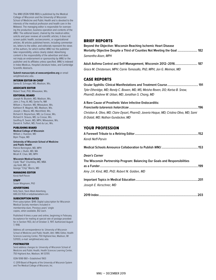The WMJ (ISSN 1098-1861) is published by the Medical College of Wisconsin and the University of Wisconsin School of Medicine and Public Health and is devoted to the interests of the medical profession and health care in the Midwest. The managing editor is responsible for overseeing the production, business operation and contents of the WMJ. The editorial board, chaired by the medical editor, solicits and peer reviews all scientific articles; it does not screen public health, socioeconomic, or organizational articles. All articles published herein, including commentaries, letters to the editor, and editorials represent the views of the authors, for which neither WMJ nor the publisher take responsibility, unless clearly stated. Advertising content is the responsibility of the advertiser and does not imply an endorsement or sponsorship by WMJ or the publsiher and its affiliates unless specified. WMJ is indexed in Index Medicus, Hospital Literature Index, and Cambridge Scientific Abstracts.

**Submit manuscripts at www.wmjonline.org** or email wmj@med.wisc.edu.

#### INTERIM EDITOR-IN-CHIEF

Sarina B. Schrager, MD, Madison, Wis.

ASSOCIATE EDITOR Robert Treat, PhD, Milwaukee, Wis.

#### EDITORIAL BOARD

Joseph N. Blustein, MD, Madison, Wis. John J. Frey, III, MD, Santa Fe, NM William J. Hueston, MD, Milwaukee, Wis. Kathleen R. Maginot, MD, Madison, Wis. Joseph J. Mazza, MD, Marshfield, Wis. Richard H. Reynertson, MD, La Crosse, Wis. Richard H. Strauss, MD, La Crosse, Wis. Geoffrey R. Swain, MD, MPH, Milwaukee, Wis. Darold A. Treffert, MD, Fond du Lac, Wis.

#### PUBLISHING BOARD

**Medical College of Wisconsin** William J. Hueston, MD Bipin Thapa, MD

**University of Wisconsin School of Medicine and Public Health**  Patrick Remington, MD, MPH Nathan J. Rudin, MD, MA Micah R. Chan, MD, MPH

#### **Wisconsin Medical Society**

Clyde "Bud" Chumbley, MD, MBA Jay Gold, MD, JD George "Chip" Morris, MD

MANAGING EDITOR Kendi Neff-Parvin

STAFF

Susan Wiegmann, PhD ADVERTISING

Kelly Slack, Slack Attack Advertising, 608.222.7630 or kelly@slackattack.com.

#### SUBSCRIPTION RATES

Print subscription: \$149. Digital subscription for Wisconsin Medical Society members included in membership dues. Previous years' single copies, when available, \$12 each.

Published 4 times a year and online, beginning in February. Acceptance for mailing at special rate of postage provided for in Section 1103, Act of October 3, 1917. Authorized August 7, 1918.

Address all correspondence to: University of Wisconsin School of Medicine and Public Health, Attn: WMJ Editor, Health Sciences Learning Center, 750 Highland Ave, Madison, WI 537055; e-mail: wmj@med.wisc.edu

#### POSTMASTER

Send address changes to: University of Wisconsin School of Medicine and Public Health, Health Sciences Learning Center, 750 Highland Ave, Madison, WI 53705

ISSN 1098-1861 • Established 1903

© 2019 Board of Regents of the University of Wisconsin System and The Medical College of Wisconsin, Inc.

#### BRIEF REPORTS

**150** WMJ • DECEMBER 2019

| DRIEF REFVRIJ<br>Beyond the Objective: Wisconsin Reaching Ischemic Heart Disease<br>Mortality Objective Despite a Third of Counties Not Meeting the Goal  182<br>Samantha Aisen, MPH          |
|-----------------------------------------------------------------------------------------------------------------------------------------------------------------------------------------------|
| Adult Asthma Control and Self-Management, Wisconsin 2012-2016 187<br>Grace M. Christensen, MPH; Carrie Tomasallo, PhD, MPH; Jon G. Meiman, MD                                                 |
| <b>CASE REPORTS</b><br>Tyler Etheridge, MD; Randy C. Bowen, MD, MS; Meisha Raven, DO; Karisa B. Snow,<br>PharmD; Andrew W. Urban, MD; Jonathan S. Chang, MD                                   |
| A Rare Cause of Prosthetic Valve Infective Endocarditis:<br>Christian A. Olivo, MD; Claire Dysart, PharmD; Javeria Haque, MD; Cristina Olivo, MD; Sami<br>El-Dalati, MD; Nathan Gundacker, MD |
| <b>YOUR PROFESSION</b><br><b>Kendi Neff-Parvin</b>                                                                                                                                            |
|                                                                                                                                                                                               |
| <b>Dean's Corner</b><br>The Wisconsin Partnership Program: Balancing Our Goals and Responsibilities<br>Amy J.H. Kind, MD, PhD; Robert N. Golden, MD                                           |
| Joseph E. Kerschner, MD                                                                                                                                                                       |
| 203<br>2019 Index.                                                                                                                                                                            |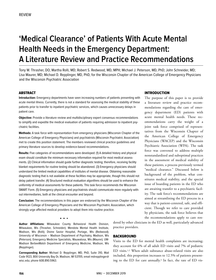### **'Medical Clearance' of Patients With Acute Mental Health Needs in the Emergency Department: A Literature Review and Practice Recommendations**

Tony W. Thrasher, DO; Martha Rolli, MD; Robert S. Redwood, MD, MPH; Michael J. Peterson, MD, PhD; John Schneider, MD; Lisa Maurer, MD; Michael D. Repplinger, MD, PhD, for the Wisconsin Chapter of the American College of Emergency Physicians and the Wisconsin Psychiatric Association

#### **ABSTRACT**

**Introduction:** Emergency departments have seen increasing numbers of patients presenting with acute mental illness. Currently, there is not a standard for assessing the medical stability of these patients prior to transfer to inpatient psychiatric services, which causes unnecessary delays in patient care.

**Objective:** Provide a literature review and multidisciplinary expert consensus recommendations to simplify and expedite the medical evaluation of patients requiring admission to inpatient psychiatric facilities.

**Methods:** A task force with representation from emergency physicians (Wisconsin Chapter of the American College of Emergency Physicians) and psychiatrists (Wisconsin Psychiatric Association) met to create this position statement. The members reviewed clinical practice guidelines and primary literature sources to develop evidence-based recommendations.

**Results:** Five categories of recommendations were developed: (1) A detailed history and physical exam should constitute the minimum necessary information required for most medical assessments. (2) Clinical information should guide further diagnostic testing; therefore, receiving facility blanket requirements for routine testing should be abandoned. (3) Emergency physicians should understand the limited medical capabilities of institutes of mental disease. Obtaining reasonable diagnostic testing that is not available at these facilities may be appropriate, though this should not delay patient transfer. (4) Structured medical evaluation algorithms should be used to enhance the uniformity of medical assessments for these patients. This task force recommends the Wisconsin SMART Form. (5) Emergency physicians and psychiatrists should communicate more regularly without intermediaries, both at the clinical encounter and beyond.

**Conclusion:** The recommendations in this paper are endorsed by the Wisconsin Chapter of the American College of Emergency Physicians and the Wisconsin Psychiatric Association, which strongly urge affected medical providers to adopt them into routine practice.

**Author Affiliations:** Milwaukee County Behavioral Health Division, Milwaukee, Wis (Thrasher, Schneider); Mendota Mental Health Institute, Madison, Wis (Rolli); Divine Savior Hospital, Portage, Wis (Redwood); University of Wisconsin – Madison Department of Psychiatry, Madison, Wis (Peterson); Emergency Medicine Specialists, Wauwatosa, Wis (Maurer); UW-Madison BerbeeWalsh Department of Emergency Medicine, Madison, Wis (Repplinger).

**• •** •

**Corresponding Author:** Michael D. Repplinger, MD, PhD, Suite 310, Mail Code 9123, 800 University Bay Dr, Madison, WI 53705; email mdrepplinger@ wisc.edu; phone 608.890.5963.

#### INTRODUCTION

The purpose of this paper is to provide a literature review and practice recommendations regarding the care of emergency department (ED) patients with acute mental health needs. These recommendations carry the weight of a joint task force comprised of representatives from the Wisconsin Chapter of the American College of Emergency Physicians (WACEP) and the Wisconsin Psychiatric Association (WPA). The task force was convened to address multiple nonstandardized and suboptimal practices in the assessment of medical stability of these patients, a process previously termed "medical clearance." Discussed below is background of the problem, what constitutes medical stability, and the special issue of boarding patients in the ED who are awaiting transfer to a psychiatric facility. The task force's recommendations are aimed at streamlining the ED process in a way that is patient-centered, safe, and efficient. Though we refer to care provided by physicians, the task force believes that the recommendations apply to care ren-

dered by other clinicians in the ED as well, particularly advanced practice providers.

#### BACKGROUND

Visits to the ED for mental health complaints are increasing; they account for 6% of all adult ED visits and 7% of pediatric ED visits.1,2 When adult substance abuse-related visits are also included, this proportion increases to 12.5% of patients presenting to the ED for care annually.3 In fact, the rate of ED vis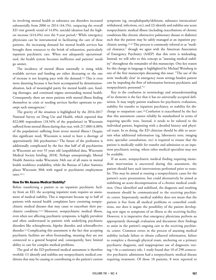its involving mental health or substance use disorders increased substantially from 2006 to 2014 (44.1%), outpacing the overall ED visit growth trend of 14.8%; suicidal ideation had the highest increase (414.6%) over the 9-year period.<sup>4</sup> While emergency physicians can be instrumental in facilitating the care of these patients, the increasing demand for mental health services has brought these resources to the brink of exhaustion, particularly inpatient psychiatric care. When not adequately operationalized, the health system becomes inefficient and patients' needs go unmet.

The incidence of mental illness nationally is rising while available services and funding are either decreasing or the rate of increase is not keeping pace with the demand.5,6 This is even more daunting because it has been accompanied by deinstitutionalization, lack of meaningful parity for mental health care, funding shortages, and continued stigma surrounding mental health. Consequently, there are more patients with mental illness finding themselves in crisis or needing services further upstream to preempt such emergencies.7

The gravity of the situation is highlighted by the 2016-2017 National Survey on Drug Use and Health, which reported that 822,000 respondents (18.54% of the population) in Wisconsin suffered from mental illness during that year, with 217,000 (4.88% of the population) suffering from severe mental illness.8 Despite this significant need, Wisconsin is noted to have a shortage of approximately 266 psychiatrists.9 The future of the profession is additionally complicated by the fact that half of all psychiatrists in Wisconsin are over 55 years old [unpublished data, Wisconsin Medical Society briefing, 2018]. Perhaps unsurprisingly, Mental Health America ranks Wisconsin 34th out of all states in mental health workforce availability, while the Bureau of Labor Statistics places Wisconsin 30th with regard to psychiatrist employment rates.10,11

#### How Do We Assess Medical Stability?

Before transferring a patient to an inpatient psychiatric facility from an ED, the accepting inpatient team requires an assessment of medical stability. This is important because up to half of patients with mental health complaints have coexisting nonpsychiatric medical diseases that may cause or exacerbate their psychiatric condition.12,13 Moreover, nonpsychiatric medical illness, even when not affecting psychiatric symptoms, is highly prevalent and often undertreated in patients with underlying psychiatric disorders like schizophrenia, bipolar disorder, and schizoaffective disorder.14 Complicating this assessment is the fact that accepting psychiatric facilities are often freestanding, meaning they are not connected to a general hospital and, consequently, have limited ability to care for complex medical problems.

The goal of the ED-performed medical assessment is therefore twofold: (1) identify and stabilize any nonpsychiatric medical conditions that may be causing or contributing to the patient's current symptoms (eg, encephalopathy/delirium, substance intoxication/ withdrawal, infections, etc); and (2) identify and stabilize any acute nonpsychiatric medical illness (including exacerbations of chronic conditions like chronic obstructive pulmonary disease or diabetes) such that the patient may be safely managed at an inpatient psychiatric setting.15,16 This process is commonly referred to as "medical clearance," though we agree with the American Association of Emergency Psychiatry (AAEP) that this term is misleading. Instead, we will refer to this concept as "assessing medical stability" throughout the remainder of this manuscript. One key reason for this change in language is highlighted by Michael Weissberg in one of the first manuscripts discussing this issue: "The use of the term 'medically clear' in emergency room settings hinders patient care by impeding the flow of information between psychiatric and nonpsychiatric personnel."17

Key to the confusion in terminology and misunderstanding of its elements is the fact that it has no universally accepted definition. It may imply patient readiness for psychiatric evaluation, stability for transfer to inpatient psychiatry, or stability for discharge to outpatient care.18 Confusion is exacerbated by the fact that this assessment cannot reliably be standardized in terms of requiring specific tests. Instead, it needs to be tailored to the individual patient, beginning with a detailed history and physical exam. In so doing, the ED clinician should be able to ascertain what additional information (eg, laboratory tests, imaging tests, specialist consultation, etc) is required to ensure that the patient is medically stable for transfer and admission to an inpatient psychiatric setting, where other medical specialists may not be available.

If an acute, nonpsychiatric medical finding requiring immediate intervention is uncovered during this assessment, the patient should have such interventions performed prior to transfer. This may be aimed at treating a nonpsychiatric cause for the patient's acute presentation, but could alternatively be aimed at stabilizing an acute decompensation of a chronic medical condition. Once identified and stabilized, the diagnosis and resulting treatment should be communicated to the receiving psychiatric center. Importantly, medical stability does not mean that the patient is free from all medical problems or comorbid conditions, nor does it negate the possibility of the patient developing new signs or symptoms of an illness at the receiving facility. However, it is imperative that emergency physicians perform an appropriately thorough evaluation and document their findings to assist in the patient's ongoing care at the receiving psychiatric center. Common errors in the process of assessing medical stability include failure to obtain collateral information, failure to complete a thorough physical exam, anchoring on a primary psychiatric diagnosis, and inappropriate use of diagnostic testing.19 As a cautionary tale, 1 study found that 10 of 298 consecutive psychiatric admissions had a nonpsychiatric medical disease requiring treatment. Of those 10 patients, 8 were reported to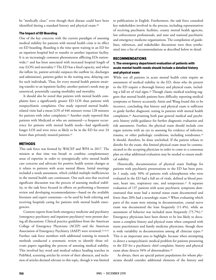be "medically clear," even though their disease could have been identified during a standard history and physical exam.20

#### The Impact of ED Boarding

One of the key concerns with the current paradigm of assessing medical stability for patients with mental health crisis is its effect on ED boarding. Boarding is the time spent waiting in an ED for an inpatient hospital bed or transfer to another inpatient facility. It is an increasingly common phenomenon afflicting EDs nationwide,<sup>21</sup> and has been associated with increased hospital length of stay (LOS) and mortality.22 The ED has a fixed capacity, and when the inflow (ie, patient arrivals) outpaces the outflow (ie, discharges and admissions), patients gather in the waiting area, delaying care for such individuals. Thus, for every mental health patient awaiting transfer to an inpatient facility, another patient's needs may go unnoticed, potentially causing morbidity and mortality.

It should also be noted that patients with mental health complaints have a significantly greater ED LOS than patients with nonpsychiatric complaints. One study reported mental healthrelated visits had a mean LOS of 446 minutes versus 128 minutes for patients with other complaints.23 Another study reported that patients with Medicaid or who are uninsured—a frequent occurrence for patients with mental health needs—had significantly longer LOS and were twice as likely to be in the ED for over 24 hours than privately insured patients.24

#### **METHODS**

This task force was formed by WACEP and WPA in 2017. The mission at that time was broad: to combine complementary areas of expertise in order to synergistically solve mental health care concerns and advocate for positive health system changes as it relates to patients with acute mental illness. Initial meetings included a needs assessment, which yielded multiple inefficiencies in the mental health care continuum. One such area that received significant discussion was the process of assessing medical stability, so the task force focused its efforts on performing a literature review and developing recommendations—based on the available literature and expert consensus—to be used by both referring and receiving hospitals caring for patients with mental health emergencies.

Content experts from both emergency medicine and psychiatry (emergency psychiatry and inpatient psychiatry) were present during all discussions. Clinical practice guidelines from the American College of Emergency Physicians (ACEP) and the American Association of Emergency Psychiatry (AAEP) were reviewed.16,18,25 Further, task force members with additional training in research methods conducted a systematic review to identify those relevant papers regarding the process of assessing medical stability. This involved key word and medical subject heading searches in PubMed, screening articles by review of their abstracts, and inclusion of articles deemed relevant to this topic, though it was limited to publications in English. Furthermore, the task force consulted key stakeholders involved in the process, including representatives of receiving psychiatric facilities, county mental health agencies, law enforcement professionals, and state and national psychiatric and emergency medicine organizations. The compilation of guidelines, references, and stakeholder discussions were then synthesized into a list of recommendations as described below in detail.

#### RECOMMENDATIONS

#### 1. The emergency department evaluation of patients with acute mental health needs should include a detailed history and physical exam

While not all patients in acute mental health crisis require an assessment of medical stability in the ED, those who do present to the ED require a thorough history and physical exam, including a full set of vital signs.18 Though classic medical teaching suggests that mental health patients have difficulty reporting medical symptoms or history accurately, Amin and Wang found this to be incorrect, concluding that history and physical exam is sufficient to guide further diagnostic testing in patients with mental health complaints.26 Ascertaining both past general medical and psychiatric history yields guidance for further diagnostic evaluation and risk assessment. Further, the physical exam should include core organ systems with an eye to assessing for evidence of infection, trauma, or other pathologic conditions, including toxidromes.19 It should, therefore, be done unclothed. If the patient refuses to disrobe for the exam, this limited physical exam must be communicated to the accepting physician in order to come to a consensus plan on what additional evaluation may be needed to ensure medical stability.

Historically, documentation of physical exam findings for patients with psychiatric presentations to the ED has been poor. In 1 study, only 50% of patients with schizophrenia who were evaluated in the ED had a full set of vitals, defined as blood pressure, heart rate, respiratory rate, and temperature.<sup>27</sup> A separate evaluation of 137 patients with acute psychiatric symptoms demonstrated that none had a mental status exam documented and fewer than 20% had a neurologic exam.28 When evaluating which parts of the exam were missing in documentation, cranial nerve exam was documented the least frequently (11.4%), while an assessment of behavior was included most frequently (75.7%).27 Emergency physicians have been shown to be less likely to document a complete history and physical exam when compared with nurse practitioners and family medicine physicians, though there is wide variability in documentation among all clinician types.<sup>29</sup> This is an important area to highlight, because when attempting to detect a nonpsychiatric medical problem for patients presenting to the ED for a psychiatric chief complaint, history and physical exam alone detects 94% of abnormalities.30

As always, there are special patient populations for whom physicians should consider additional elements of the history and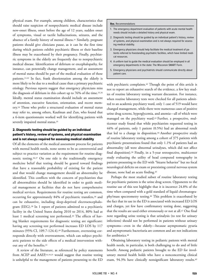physical exam. For example, among children, characteristics that should raise suspicion of nonpsychiatric medical disease include new-onset illness, onset before the age of 12 years, sudden onset of symptoms, visual or tactile hallucinations, seizures, and the absence of a family history of mental illness.31 Similarly, pregnant patients should give clinicians pause, as it can be the first time during which patients exhibit psychiatric illness or their baseline illness may be exacerbated by their pregnancy. Finally, psychiatric symptoms in the elderly are frequently due to nonpsychiatric medical disease. Identification of delirium or encephalopathy, for instance, can potentially change management, and an assessment of mental status should be part of the medical evaluation of these patients.13,32 In fact, frank disorientation among the elderly is more likely to be due to a medical cause than a primary psychiatric etiology. Previous reports suggest that emergency physicians miss the diagnosis of delirium in this cohort up to 76% of the time.33,34 Ideally, mental status examination should include an assessment of attention, executive function, orientation, and recent memory.16 Those who prefer a structured evaluation of mental status may refer to, among others, Kaufman and Zun, who found that a 6-item questionnaire worked well for identifying patients with severely impaired mental status.<sup>35</sup>

#### 2. Diagnostic testing should be guided by an individual patient's history, review of systems, and physical examination and is not always required for assessing medical stability

Of all the elements of the medical assessment process for patients with mental health needs, none seems to be as controversial and subject to practice variation as the requirement for routine diagnostic testing.36,37 On one side is the traditionally emergency medicine belief that testing should be geared toward findings that have a reasonable probability of existing for the patient and that would change management should an abnormality be identified. This conflicts with the concern of psychiatrists that all abnormalities should be identified in order to guide medical management at facilities that do not have comprehensive medical services. Requirements for routine testing are common, occurring for approximately 84% of psychiatric transfers,<sup>36</sup> and can be exhaustive, including sleep-deprived electroencephalogram (EEG).38 In 1 report of patients admitted to a psychiatric facility in the United States during 2010 to 2014, 80% had at least 1 medical screening test performed.39 The effects of having blanket requirements for diagnostic testing are significant: having any screening test performed increases ED LOS by 117 minutes (95% CI, 109.7-124.4).40 Furthermore, overtesting corresponds directly with overtreatment, which can subject psychiatric patients to the side effects of a medical intervention without any of the benefits.41

A review of the literature, as referenced by policy statements from ACEP and AAEP,<sup>16,18,25</sup> would suggest that routine testing is unhelpful to the management of patients presenting to the ED

#### **Box.** Recommendations

- 1. The emergency department evaluation of patients with acute mental health needs should include a detailed history and physical exam.
- 2. Diagnostic testing should be guided by an individual patient's history, review of systems, and physical examination and is not always required for assessing medical stability.
- 3. Emergency physicians should help facilitate the medical treatment of patients referred to freestanding psychiatric facilities, which have limited medical resources.
- 4. A uniform tool to guide the medical evaluation should be employed in all emergency departments in the state: The Wisconsin SMART Form.
- 5. Emergency physicians and psychiatrists should communicate directly about patient care.

with psychiatric complaints.<sup>42</sup> Though the point of this article is not to report an exhaustive search of the evidence, a few key studies of routine laboratory testing warrant discussion. For instance, when routine laboratory tests were checked for all patients admitted to an academic psychiatry ward, only 1 case of 519 would have changed management, while there were numerous cases of positive urine drug screens, hyperglycemia, and anemia—all of which were managed on the psychiatry ward.43 Further, a prospective, multicenter study found that while psychiatrists requested testing in 44% of patients, only 1 patient (0.5%) had an abnormal result that led to a change in disposition.<sup>44</sup> Another prospective study of routine laboratory testing among a cohort of 375 patients with psychiatric presentations found that only 1.1% of patients had an abnormality (all were abnormal urinalyses, which did not affect final disposition).26 Finally, in a 5-year retrospective, multicenter study evaluating the utility of head computed tomography in patients presenting to the ED with "bizarre behavior" but no focal neurological deficits on exam or preexisting central nervous system disease, none had an acute finding.45

Perhaps the most studied subset of routine laboratory testing for psychiatric patients is the urine drug screen. Opponents to the routine use of this test highlight that it is incorrect 24.8% of the time when compared with a gold standard of liquid chromatography/mass spectrometry testing.46 This problem is exacerbated by the fact that its use in the ED is associated with increased ED LOS and charges, yet few have confirmatory testing done, suggesting that the results are used either erroneously or not at all.47 One final note regarding urine testing is that urinalysis (to test for urinary infections) should not be performed in patients without urinary symptoms—even in the elderly—because asymptomatic pyuria and asymptomatic bacteriuria are common and are not indications for antibiotics.<sup>48</sup>

Obtaining laboratory testing in pediatric patients with mental health needs, in particular, is both challenging to do and of little benefit. Among pediatric patients brought to the ED for involuntary mental health holds who have a nonconcerning clinical exam, 94.3% have clinically nonsignificant laboratory results.49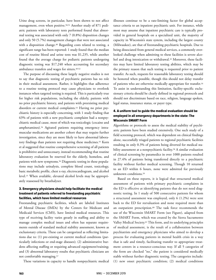Urine drug screens, in particular, have been shown to not affect management, even when positive.50,51 Another study of 871 pediatric patients with laboratory tests performed found that abnormal testing was associated with only 7 (0.8%) disposition changes and only 50 (5.7%) management changes that were not associated with a disposition change.<sup>40</sup> Regarding costs related to testing, a significant range has been reported: 1 study found that the median cost of routine blood and urine tests was \$1,235, while another found that the average charge for pediatric patients undergoing diagnostic testing was \$17,240 when accounting for secondary ambulance transfers and wages for sitters.49,52

The purpose of discussing these largely negative studies is not to say that diagnostic testing of psychiatric patients has no role in their medical assessment. Rather, it highlights that adherence to a routine testing protocol may cause physicians to overlook instances when targeted testing is required. This is particularly true for higher risk populations, including the elderly, patients with no prior psychiatric history, and patients with preexisting medical disorders or current medical complaints.53 Having no prior psychiatric history is especially concerning, with 1 study finding that 63% of patients with a new psychiatric complaint had a nonpsychiatric medical cause, most of which was toxicologic (cocaine and amphetamines).54 Agitated patients requiring emergency intramuscular medications are another cohort that may require further investigation, since they are more likely to have abnormal laboratory findings than patients not requiring these medicines.55 Korn et al suggested that routine comprehensive screening of all patients is prohibitive and unnecessary, instead recommending that routine laboratory evaluation be reserved for the elderly, homeless, and patients with new symptoms.<sup>56</sup> Diagnostic testing in these populations may include urinalysis, complete blood count, toxicology, basic metabolic profile, chest x-ray, electrocardiogram, and alcohol level.15 When available, elevated alcohol levels may be appropriately reassessed by breathalyzer.

#### 3. Emergency physicians should help facilitate the medical treatment of patients referred to freestanding psychiatric facilities, which have limited medical resources

Freestanding psychiatric facilities, which are labeled Institutes of Mental Disease (IMDs) by the Centers for Medicare and Medicaid Services (CMS), have limited medical resources. This type of receiving facility varies greatly in staffing and ability to manage complex medical issues and often has separate requirements outside of standard medical stability assessment, known as exclusionary criteria. These can be categorized as reflecting limitations due to: (1) pre-existing or current medical conditions (particularly infections or end-stage diseases); (2) administrative burdens affecting staffing or requiring advanced equipment/training; and (3) abnormal laboratory results that psychiatric clinicians are not comfortable managing.57

These variations in capacity to handle nonpsychiatric medical

illnesses continue to be a rate-limiting factor for global acceptance criteria to an inpatient psychiatric unit. For instance, while most may assume that inpatient psychiatric care is typically provided in general hospitals on a specialized unit, the majority of capacity in Wisconsin's state system, including the largest county (Milwaukee), are that of freestanding psychiatric hospitals. Due to being dissociated from general medical services, a commonly overlooked challenge when admitting to these facilities is severe alcohol and drug intoxication or withdrawal.<sup>32</sup> Moreover, these facilities may have limited laboratory testing abilities, which may be the primary reason that such testing is requested prior to patient transfer. As such, requests for reasonable laboratory testing should be honored when possible, though this should not delay transfer of patients who are otherwise medically appropriate for transfer.16 To assist in understanding this limitation, facility-specific exclusionary criteria should be clearly defined in regional protocols and should not discriminate based on race, religion, language spoken, legal status, insurance status, or payer type.

#### 4. A uniform tool to guide the medical evaluation should be employed in all emergency departments in the state: The Wisconsin SMART Form

Algorithms or protocols to assess the medical stability of psychiatric patients have been studied extensively. One such study of a field screening protocol, which was dependent on clinical findings alone, successfully triaged patients to regional psychiatric facilities resulting in only 0.3% of patients being diverted for medical stability assessment at a nonpsychiatric facility.<sup>58</sup> A similar evaluation of clinical screening by paramedics in over 1000 patients resulted in 27.4% of patients being transferred directly to a psychiatric facility without further medical screening. Though 10 returned to an ED within 6 hours, none were admitted for previously unknown conditions.59

Based on these reports, it is logical that structured medical assessment of patients with primary psychiatric complaints in the ED is effective at identifying patients that do not need diagnostic testing. In 1 study of 500 consecutive patients for whom a structured assessment was employed, only 6 (1.2%) were sent back to the ED for reevaluation and none required more than an outpatient prescription.<sup>60</sup> The task force recommends the use of the Wisconsin SMART Form (see Figure), adapted from the SMART Form, which was created by the Sierra Sacramento Valley Medical Society.61 This form, and its underlying principles of medical assessment, is the result of a collaboration between psychiatrists and emergency physicians who aimed to develop a process for evaluating patients in mental health crisis in a way that is safe and timely, facilitating transfer to appropriate treatment centers in a resource-conscious way. If all 5 categories of the form are checked "no," the patient is considered medically stable without further diagnostic testing. The categories include: (1) new onset psychiatric condition; (2) medical conditions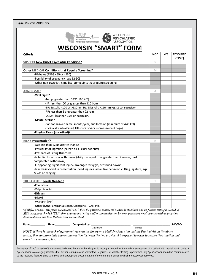| <b>SUSPECT New Onset Psychiatric Condition?</b><br>S<br>M<br>-Diabetes (FSBG <60 or >250)<br>-Possibility of pregnancy (age 12-50)<br>-Other non-psychiatric medical complaints that require screening<br>A<br>-Vital Signs?<br>-Temp: greater than 38°C (100.4°F)<br>-HR: less than 50 or greater than 110 bpm.<br>-BP: Systolic <100 or >180mm Hg. Diastolic >110mm Hg. (2 consecutive)<br>-RR: less than 8 or greater than 22 rpm.<br>-O <sub>2</sub> Sat: less than 95% on room air.<br>-Mental Status?<br>-Cannot answer name, month/year, and location (minimum of A/O X 3)<br>-If clinically intoxicated, HII score of 4 or more (see next page)<br>-Physical Exam (unclothed)?<br>R<br>-Age less than 12 or greater than 55<br>-Possibility of ingestion (screen all suicidal patients)<br>-Presence of Eating Disorders<br>-Potential for alcohol withdrawal (daily use equal to or greater than 2 weeks; past<br>complicated withdrawal)<br>-Ill appearing, significant injury, prolonged struggle, or "found down"<br>-Trauma involved in presentation (head injuries, assaultive behavior, cutting, ligature, s/p<br>MVAs or hanging)<br>т<br>-Phenytoin<br>-Valproic Acid<br>-Lithium<br>-Digoxin<br>-Warfarin (INR)<br>-Other (Other anticonvulsants, Clozapine, TCAs, etc.)<br>, MD/DO<br>Printed | Criteria: | NO* | YES | <b>RESOLVED</b><br>(TIME) |
|------------------------------------------------------------------------------------------------------------------------------------------------------------------------------------------------------------------------------------------------------------------------------------------------------------------------------------------------------------------------------------------------------------------------------------------------------------------------------------------------------------------------------------------------------------------------------------------------------------------------------------------------------------------------------------------------------------------------------------------------------------------------------------------------------------------------------------------------------------------------------------------------------------------------------------------------------------------------------------------------------------------------------------------------------------------------------------------------------------------------------------------------------------------------------------------------------------------------------------------------------------------------------------------------------------------|-----------|-----|-----|---------------------------|
| <b>Other MEDICAL Conditions that Require Screening?</b>                                                                                                                                                                                                                                                                                                                                                                                                                                                                                                                                                                                                                                                                                                                                                                                                                                                                                                                                                                                                                                                                                                                                                                                                                                                          |           |     |     |                           |
| <b>ABNORMAL?</b><br><b>RISKY Presentation?</b><br>THERAPEUTIC Levels Needed?<br>*If all five SMART categories are checked "NO", then the patient is considered medically stabilized and no further testing is needed. If<br>ANY category is checked "YES", then appropriate testing and/or communication between physicians needs to occur with appropriate<br>documentation and time that the issue was resolved.<br>NOTE: If there is any lack of agreement between the Emergency Medicine Physician and the Psychiatrist on the above                                                                                                                                                                                                                                                                                                                                                                                                                                                                                                                                                                                                                                                                                                                                                                         |           |     |     |                           |
|                                                                                                                                                                                                                                                                                                                                                                                                                                                                                                                                                                                                                                                                                                                                                                                                                                                                                                                                                                                                                                                                                                                                                                                                                                                                                                                  |           |     |     |                           |
|                                                                                                                                                                                                                                                                                                                                                                                                                                                                                                                                                                                                                                                                                                                                                                                                                                                                                                                                                                                                                                                                                                                                                                                                                                                                                                                  |           |     |     |                           |
|                                                                                                                                                                                                                                                                                                                                                                                                                                                                                                                                                                                                                                                                                                                                                                                                                                                                                                                                                                                                                                                                                                                                                                                                                                                                                                                  |           |     |     |                           |
|                                                                                                                                                                                                                                                                                                                                                                                                                                                                                                                                                                                                                                                                                                                                                                                                                                                                                                                                                                                                                                                                                                                                                                                                                                                                                                                  |           |     |     |                           |
|                                                                                                                                                                                                                                                                                                                                                                                                                                                                                                                                                                                                                                                                                                                                                                                                                                                                                                                                                                                                                                                                                                                                                                                                                                                                                                                  |           |     |     |                           |
|                                                                                                                                                                                                                                                                                                                                                                                                                                                                                                                                                                                                                                                                                                                                                                                                                                                                                                                                                                                                                                                                                                                                                                                                                                                                                                                  |           |     |     |                           |
|                                                                                                                                                                                                                                                                                                                                                                                                                                                                                                                                                                                                                                                                                                                                                                                                                                                                                                                                                                                                                                                                                                                                                                                                                                                                                                                  |           |     |     |                           |
|                                                                                                                                                                                                                                                                                                                                                                                                                                                                                                                                                                                                                                                                                                                                                                                                                                                                                                                                                                                                                                                                                                                                                                                                                                                                                                                  |           |     |     |                           |
|                                                                                                                                                                                                                                                                                                                                                                                                                                                                                                                                                                                                                                                                                                                                                                                                                                                                                                                                                                                                                                                                                                                                                                                                                                                                                                                  |           |     |     |                           |
|                                                                                                                                                                                                                                                                                                                                                                                                                                                                                                                                                                                                                                                                                                                                                                                                                                                                                                                                                                                                                                                                                                                                                                                                                                                                                                                  |           |     |     |                           |
|                                                                                                                                                                                                                                                                                                                                                                                                                                                                                                                                                                                                                                                                                                                                                                                                                                                                                                                                                                                                                                                                                                                                                                                                                                                                                                                  |           |     |     |                           |
|                                                                                                                                                                                                                                                                                                                                                                                                                                                                                                                                                                                                                                                                                                                                                                                                                                                                                                                                                                                                                                                                                                                                                                                                                                                                                                                  |           |     |     |                           |
|                                                                                                                                                                                                                                                                                                                                                                                                                                                                                                                                                                                                                                                                                                                                                                                                                                                                                                                                                                                                                                                                                                                                                                                                                                                                                                                  |           |     |     |                           |
|                                                                                                                                                                                                                                                                                                                                                                                                                                                                                                                                                                                                                                                                                                                                                                                                                                                                                                                                                                                                                                                                                                                                                                                                                                                                                                                  |           |     |     |                           |
|                                                                                                                                                                                                                                                                                                                                                                                                                                                                                                                                                                                                                                                                                                                                                                                                                                                                                                                                                                                                                                                                                                                                                                                                                                                                                                                  |           |     |     |                           |
|                                                                                                                                                                                                                                                                                                                                                                                                                                                                                                                                                                                                                                                                                                                                                                                                                                                                                                                                                                                                                                                                                                                                                                                                                                                                                                                  |           |     |     |                           |
|                                                                                                                                                                                                                                                                                                                                                                                                                                                                                                                                                                                                                                                                                                                                                                                                                                                                                                                                                                                                                                                                                                                                                                                                                                                                                                                  |           |     |     |                           |
|                                                                                                                                                                                                                                                                                                                                                                                                                                                                                                                                                                                                                                                                                                                                                                                                                                                                                                                                                                                                                                                                                                                                                                                                                                                                                                                  |           |     |     |                           |
|                                                                                                                                                                                                                                                                                                                                                                                                                                                                                                                                                                                                                                                                                                                                                                                                                                                                                                                                                                                                                                                                                                                                                                                                                                                                                                                  |           |     |     |                           |
|                                                                                                                                                                                                                                                                                                                                                                                                                                                                                                                                                                                                                                                                                                                                                                                                                                                                                                                                                                                                                                                                                                                                                                                                                                                                                                                  |           |     |     |                           |
|                                                                                                                                                                                                                                                                                                                                                                                                                                                                                                                                                                                                                                                                                                                                                                                                                                                                                                                                                                                                                                                                                                                                                                                                                                                                                                                  |           |     |     |                           |
|                                                                                                                                                                                                                                                                                                                                                                                                                                                                                                                                                                                                                                                                                                                                                                                                                                                                                                                                                                                                                                                                                                                                                                                                                                                                                                                  |           |     |     |                           |
|                                                                                                                                                                                                                                                                                                                                                                                                                                                                                                                                                                                                                                                                                                                                                                                                                                                                                                                                                                                                                                                                                                                                                                                                                                                                                                                  |           |     |     |                           |
|                                                                                                                                                                                                                                                                                                                                                                                                                                                                                                                                                                                                                                                                                                                                                                                                                                                                                                                                                                                                                                                                                                                                                                                                                                                                                                                  |           |     |     |                           |
|                                                                                                                                                                                                                                                                                                                                                                                                                                                                                                                                                                                                                                                                                                                                                                                                                                                                                                                                                                                                                                                                                                                                                                                                                                                                                                                  |           |     |     |                           |
|                                                                                                                                                                                                                                                                                                                                                                                                                                                                                                                                                                                                                                                                                                                                                                                                                                                                                                                                                                                                                                                                                                                                                                                                                                                                                                                  |           |     |     |                           |
|                                                                                                                                                                                                                                                                                                                                                                                                                                                                                                                                                                                                                                                                                                                                                                                                                                                                                                                                                                                                                                                                                                                                                                                                                                                                                                                  |           |     |     |                           |
|                                                                                                                                                                                                                                                                                                                                                                                                                                                                                                                                                                                                                                                                                                                                                                                                                                                                                                                                                                                                                                                                                                                                                                                                                                                                                                                  |           |     |     |                           |
|                                                                                                                                                                                                                                                                                                                                                                                                                                                                                                                                                                                                                                                                                                                                                                                                                                                                                                                                                                                                                                                                                                                                                                                                                                                                                                                  |           |     |     |                           |
|                                                                                                                                                                                                                                                                                                                                                                                                                                                                                                                                                                                                                                                                                                                                                                                                                                                                                                                                                                                                                                                                                                                                                                                                                                                                                                                  |           |     |     |                           |
|                                                                                                                                                                                                                                                                                                                                                                                                                                                                                                                                                                                                                                                                                                                                                                                                                                                                                                                                                                                                                                                                                                                                                                                                                                                                                                                  |           |     |     |                           |
|                                                                                                                                                                                                                                                                                                                                                                                                                                                                                                                                                                                                                                                                                                                                                                                                                                                                                                                                                                                                                                                                                                                                                                                                                                                                                                                  |           |     |     |                           |
|                                                                                                                                                                                                                                                                                                                                                                                                                                                                                                                                                                                                                                                                                                                                                                                                                                                                                                                                                                                                                                                                                                                                                                                                                                                                                                                  |           |     |     |                           |
|                                                                                                                                                                                                                                                                                                                                                                                                                                                                                                                                                                                                                                                                                                                                                                                                                                                                                                                                                                                                                                                                                                                                                                                                                                                                                                                  |           |     |     |                           |
|                                                                                                                                                                                                                                                                                                                                                                                                                                                                                                                                                                                                                                                                                                                                                                                                                                                                                                                                                                                                                                                                                                                                                                                                                                                                                                                  |           |     |     |                           |
|                                                                                                                                                                                                                                                                                                                                                                                                                                                                                                                                                                                                                                                                                                                                                                                                                                                                                                                                                                                                                                                                                                                                                                                                                                                                                                                  |           |     |     |                           |
| results, then an immediate phone conversation (between the two providers) is expected to occur to resolve the situation and                                                                                                                                                                                                                                                                                                                                                                                                                                                                                                                                                                                                                                                                                                                                                                                                                                                                                                                                                                                                                                                                                                                                                                                      |           |     |     |                           |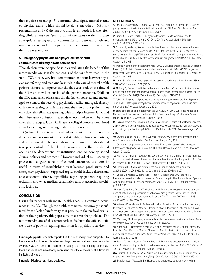that require screening; (3) abnormal vital signs, mental status, or physical exam (which should be done unclothed); (4) risky presentation; and (5) therapeutic drug levels needed. If the referring clinician answers "yes" to any of the items on the list, then appropriate testing and/or communication between physicians needs to occur with appropriate documentation and time that the issue was resolved.

#### 5. Emergency physicians and psychiatrists should communicate directly about patient care

Though there were no specific studies evaluating the benefit of this recommendation, it is the consensus of the task force that, in the state of Wisconsin, very little communication occurs between physicians at referring and receiving hospitals in the care of mental health patients. Efforts to improve this should occur both at the time of the ED visit, as well as outside of the patient encounter. While in the ED, emergency physicians should feel empowered and encouraged to contact the receiving psychiatric facility and speak directly with the accepting psychiatrist about the care of the patient. Not only does this eliminate speaking with multiple intermediaries and the subsequent confusion that tends to occur when nonphysicians enter this dialogue, it also facilitates a collegial conversation aimed at understanding and tending to the patient's needs.

Quality of care is improved when physicians communicate directly about assessment of medical stability, exclusionary criteria, and admission. As referenced above, communication also should take place outside of the clinical encounter. Ideally, this should occur at the department- or institution-level to develop sound clinical policies and protocols. However, individual multispecialty physician dialogues outside of clinical encounters also can be useful in terms of reestablishing trust between psychiatrists and emergency physicians. Suggested topics could include discussions of exclusionary criteria, capabilities regarding patients requiring seclusion, and what medical capabilities exist at accepting psychiatric facilities.

#### **CONCLUSION**

Caring for patients with mental health needs is a common occurrence in the ED. Though the health care system historically has suffered from a lack of uniformity as it pertains to the medical evaluation of these patients, this paper aims to correct that problem. The recommendations of this report seek to facilitate the safe and efficient care of patients requiring admission for psychiatric services.

**Funding/Support:** Research reported in this manuscript was supported by the National Institute for Diabetes and Digestive and Kidney Diseases under awards K08 DK111234. The content is solely the responsibility of the authors and does not necessarily represent the official views of the National Institutes of Health.

**Financial Disclosures:** None declared.

#### **REFERENCES**

**1.** Larkin GL, Claassen CA, Emond JA, Pelletier AJ, Camargo CA. Trends in U.S. emergency department visits for mental health conditions, 1992 to 2001. Psychiatr Serv. 2005;56(6):671-677. doi:10.1176/appi.ps.56.6.671

**2.** Simon AE, Schoendorf KC. Emergency department visits for mental health conditions among US children, 2001-2011. Clin Pediatr. 2014;53(14):1359-1366. doi:10.1177/0009922814541806

**3.** Owens PL, Mutter R, Stocks C. Mental health and substance abuse-related emergency department visits among adults, 2007: Statistical Brief 92. In: Healthcare Cost and Utilization Project (HCUP) Statistical Briefs. Rockville, MD: US Agency for Healthcare Research and Quality; 2006. http://www.ncbi.nlm.nih.gov/books/NBK52659/. Accessed October 25, 2018.

**4.** Trends in emergency department visits, 2006-2014. Healthcare Cost and Utilization Project (HCUP). https://www.hcup-us.ahrq.gov/reports/statbriefs/sb227-Emergency-Department-Visit-Trends.jsp. Statistical Brief 227. Published September 2017. Accessed October 26, 2018.

**5.** Curtin SC, Warner M, Hedegaard H. Increase in suicide in the United States, 1999- 2014. NCHS Data Brief. 2016;(241):1-8.

**6.** McGinty E, Pescosolido B, Kennedy-Hendricks A, Barry CL. Communication strategies to counter stigma and improve mental illness and substance use disorder policy. Psychiatr Serv. 2018;69(2):136-146. doi:10.1176/appi.ps.201700076

**7.** Zeller SL. Treatment of psychiatric patients in emergency settings. Prim Psychiatry. June 1, 2010. http://primarypsychiatry.com/treatment-of-psychiatric-patients-in-emergency-settings/. Accessed August 21, 2019.

**8.** State data tables and reports from the 2016-2017 NSDUH. Substance Abuse and Mental Health Services Administration. https://www.samhsa.gov/data/nsduh/statereports-NSDUH-2017. Accessed August 21, 2019.

**9.** Division of Care and Treatment Services, Wisconsin Department of Health Services. 2017 Wisconsin Mental Health and Substance Use Needs Assessment. https://www.dhs. wisconsin.gov/publications/p00613-17.pdf. Published July 2018. Accessed August 21, 2019.

**10.** Overal ranking. Mental Health America. https://www.mentalhealthamerica.net/issues/ranking-states. Published 2019. Accessed August 21, 2019.

**11.** Occupation employment and wages, May 2018. US Bureau of Labor Statistics. https://www.bls.gov/oes/current/oes291066.htm. Updated March 29, 2019. Accessed August 21, 2019.

**12.** Hall RC, Gardner ER, Stickney SK, LeCann AF, Popkin MK. Physical illness manifesting as psychiatric disease. II. Analysis of a state hospital inpatient population. Arch Gen Psychiatry. 1980;37(9):989-995. doi:10.1001/archpsyc.1980.01780220027002

**13.** Hoffman RS. Diagnostic errors in the evaluation of behavioral disorders. JAMA.1982;248(8):964-967. doi:10.1001/jama.1982.03330080046027

**14.** Jones DR, Macias C, Barreira PJ, Fisher WH, Hargreaves WA, Harding CM. Prevalence, severity, and co-occurrence of chronic physical health problems of persons with serious mental illness. Psychiatr Serv. 2004;55(11):1250-1257. doi:10.1176/appi. ps.55.11.1250

**15.** Alam A, Rachal J, Tucci VT, Moukaddam N. Emergency department medical clearance of patients with psychiatric or behavioral emergencies, part 2: special psychiatric populations and considerations. Psychiatr Clin North Am. 2017;40(3):425-433. doi:10.1016/j.psc.2017.05.001

**16.** Wilson MP, Nordstrom K, Anderson EL, et al. American Association for Emergency Psychiatry Task Force on Medical Clearance of Adult Psychiatric Patients. Part II: controversies over medical assessment, and consensus recommendations. West J Emerg Med. 2017;18(4):640-646. doi:10.5811/westjem.2017.3.32259

**17.** Weissberg MP. Emergency room medical clearance: an educational problem. Am J Psychiatry. 1979;136(6):787-790. doi:10.1176/ajp.136.6.787

**18.** Anderson EL, Nordstrom K, Wilson MP, et al. American Association for Emergency Psychiatry Task Force on Medical Clearance of Adults. Part I: introduction, review and evidence-based guidelines. West J Emerg Med. 2017;18(2):235-242. doi:10.5811/ westjem.2016.10.32258

**19.** Tucci VT, Moukaddam N, Alam A, Rachal J. Emergency department medical clearance of patients with psychiatric or behavioral emergencies, part 1. Psychiatr Clin North Am. 2017;40(3):411-423. doi:10.1016/j.psc.2017.04.001

20. Tintinalli JE, Peacock FW IV, Wright MA. Emergency medical evaluation of psychiatric patients. Ann Emerg Med. 1994;23(4):859-862. doi:10.1016/s0196-0644(94)70326-4

**21.** Schafermeyer RW, Asplin BR. Hospital and emergency department crowding